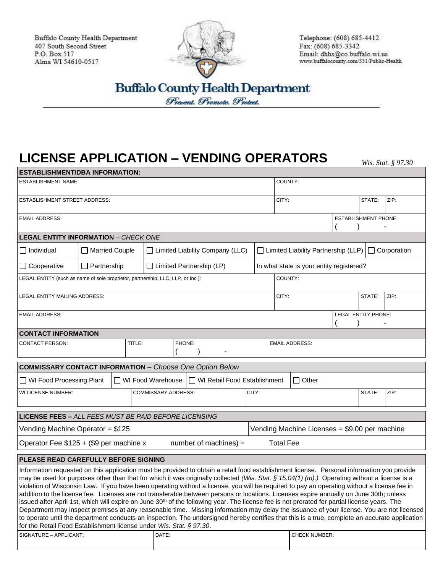Buffalo County Health Department 407 South Second Street P.O. Box 517 Alma WI 54610-0517



Telephone: (608) 685-4412 Fax: (608) 685-3342 Email: dhhs@co.buffalo.wi.us www.buffalocounty.com/331/Public-Health

**Buffalo County Health Department** Prevent. Promote. Protect.

## **LICENSE APPLICATION – VENDING OPERATORS** *Wis. Stat. § 97.30*

| <b>ESTABLISHMENT/DBA INFORMATION:</b>                                                                              |                        |                     |                                 |                                                                                                                                                                                                                                                                                                                                                                                                                                                                                                                                                                                                                                                                                                                                                                                                                                                                                                                                                                                                                                               |                                          |                                                        |                                               |        |        |      |  |
|--------------------------------------------------------------------------------------------------------------------|------------------------|---------------------|---------------------------------|-----------------------------------------------------------------------------------------------------------------------------------------------------------------------------------------------------------------------------------------------------------------------------------------------------------------------------------------------------------------------------------------------------------------------------------------------------------------------------------------------------------------------------------------------------------------------------------------------------------------------------------------------------------------------------------------------------------------------------------------------------------------------------------------------------------------------------------------------------------------------------------------------------------------------------------------------------------------------------------------------------------------------------------------------|------------------------------------------|--------------------------------------------------------|-----------------------------------------------|--------|--------|------|--|
| <b>ESTABLISHMENT NAME:</b>                                                                                         |                        |                     |                                 |                                                                                                                                                                                                                                                                                                                                                                                                                                                                                                                                                                                                                                                                                                                                                                                                                                                                                                                                                                                                                                               |                                          |                                                        | COUNTY:                                       |        |        |      |  |
| <b>ESTABLISHMENT STREET ADDRESS:</b>                                                                               |                        |                     |                                 |                                                                                                                                                                                                                                                                                                                                                                                                                                                                                                                                                                                                                                                                                                                                                                                                                                                                                                                                                                                                                                               |                                          | CITY:                                                  |                                               | STATE: | ZIP:   |      |  |
| <b>EMAIL ADDRESS:</b>                                                                                              |                        |                     |                                 |                                                                                                                                                                                                                                                                                                                                                                                                                                                                                                                                                                                                                                                                                                                                                                                                                                                                                                                                                                                                                                               |                                          | <b>ESTABLISHMENT PHONE:</b>                            |                                               |        |        |      |  |
| <b>LEGAL ENTITY INFORMATION - CHECK ONE</b>                                                                        |                        |                     |                                 |                                                                                                                                                                                                                                                                                                                                                                                                                                                                                                                                                                                                                                                                                                                                                                                                                                                                                                                                                                                                                                               |                                          |                                                        |                                               |        |        |      |  |
| $\Box$ Individual                                                                                                  | <b>Married Couple</b>  |                     |                                 | $\Box$ Limited Liability Company (LLC)                                                                                                                                                                                                                                                                                                                                                                                                                                                                                                                                                                                                                                                                                                                                                                                                                                                                                                                                                                                                        |                                          | Limited Liability Partnership (LLP) $\Box$ Corporation |                                               |        |        |      |  |
| $\Box$ Cooperative                                                                                                 | $\perp$<br>Partnership |                     | $\Box$ Limited Partnership (LP) |                                                                                                                                                                                                                                                                                                                                                                                                                                                                                                                                                                                                                                                                                                                                                                                                                                                                                                                                                                                                                                               | In what state is your entity registered? |                                                        |                                               |        |        |      |  |
| LEGAL ENTITY (such as name of sole proprietor, partnership, LLC, LLP, or Inc.):                                    |                        |                     |                                 |                                                                                                                                                                                                                                                                                                                                                                                                                                                                                                                                                                                                                                                                                                                                                                                                                                                                                                                                                                                                                                               |                                          | COUNTY:                                                |                                               |        |        |      |  |
| LEGAL ENTITY MAILING ADDRESS:                                                                                      |                        |                     |                                 |                                                                                                                                                                                                                                                                                                                                                                                                                                                                                                                                                                                                                                                                                                                                                                                                                                                                                                                                                                                                                                               |                                          | CITY:                                                  |                                               |        | STATE: | ZIP: |  |
| <b>EMAIL ADDRESS:</b>                                                                                              |                        |                     |                                 |                                                                                                                                                                                                                                                                                                                                                                                                                                                                                                                                                                                                                                                                                                                                                                                                                                                                                                                                                                                                                                               |                                          |                                                        | LEGAL ENTITY PHONE:                           |        |        |      |  |
| <b>CONTACT INFORMATION</b>                                                                                         |                        |                     |                                 |                                                                                                                                                                                                                                                                                                                                                                                                                                                                                                                                                                                                                                                                                                                                                                                                                                                                                                                                                                                                                                               |                                          |                                                        |                                               |        |        |      |  |
| <b>CONTACT PERSON:</b><br>TITLE:                                                                                   |                        |                     | PHONE:                          |                                                                                                                                                                                                                                                                                                                                                                                                                                                                                                                                                                                                                                                                                                                                                                                                                                                                                                                                                                                                                                               |                                          | <b>EMAIL ADDRESS:</b>                                  |                                               |        |        |      |  |
| <b>COMMISSARY CONTACT INFORMATION - Choose One Option Below</b>                                                    |                        |                     |                                 |                                                                                                                                                                                                                                                                                                                                                                                                                                                                                                                                                                                                                                                                                                                                                                                                                                                                                                                                                                                                                                               |                                          |                                                        |                                               |        |        |      |  |
| $\Box$ WI Food Processing Plant<br>$\Box$ WI Food Warehouse<br>$\Box$ WI Retail Food Establishment<br>$\Box$ Other |                        |                     |                                 |                                                                                                                                                                                                                                                                                                                                                                                                                                                                                                                                                                                                                                                                                                                                                                                                                                                                                                                                                                                                                                               |                                          |                                                        |                                               |        |        |      |  |
| WI LICENSE NUMBER:                                                                                                 |                        | COMMISSARY ADDRESS: | CITY:                           |                                                                                                                                                                                                                                                                                                                                                                                                                                                                                                                                                                                                                                                                                                                                                                                                                                                                                                                                                                                                                                               |                                          |                                                        | STATE:                                        | ZIP:   |        |      |  |
| <b>LICENSE FEES - ALL FEES MUST BE PAID BEFORE LICENSING</b>                                                       |                        |                     |                                 |                                                                                                                                                                                                                                                                                                                                                                                                                                                                                                                                                                                                                                                                                                                                                                                                                                                                                                                                                                                                                                               |                                          |                                                        |                                               |        |        |      |  |
| Vending Machine Operator = \$125                                                                                   |                        |                     |                                 |                                                                                                                                                                                                                                                                                                                                                                                                                                                                                                                                                                                                                                                                                                                                                                                                                                                                                                                                                                                                                                               |                                          |                                                        | Vending Machine Licenses = \$9.00 per machine |        |        |      |  |
| Operator Fee \$125 + (\$9 per machine x<br>number of machines) $=$<br><b>Total Fee</b>                             |                        |                     |                                 |                                                                                                                                                                                                                                                                                                                                                                                                                                                                                                                                                                                                                                                                                                                                                                                                                                                                                                                                                                                                                                               |                                          |                                                        |                                               |        |        |      |  |
| PLEASE READ CAREFULLY BEFORE SIGNING                                                                               |                        |                     |                                 |                                                                                                                                                                                                                                                                                                                                                                                                                                                                                                                                                                                                                                                                                                                                                                                                                                                                                                                                                                                                                                               |                                          |                                                        |                                               |        |        |      |  |
| for the Retail Food Establishment license under Wis. Stat. § 97.30.                                                |                        |                     |                                 | Information requested on this application must be provided to obtain a retail food establishment license. Personal information you provide<br>may be used for purposes other than that for which it was originally collected (Wis. Stat. § 15.04(1) (m).) Operating without a license is a<br>violation of Wisconsin Law. If you have been operating without a license, you will be required to pay an operating without a license fee in<br>addition to the license fee. Licenses are not transferable between persons or locations. Licenses expire annually on June 30th; unless<br>issued after April 1st, which will expire on June 30 <sup>th</sup> of the following year. The license fee is not prorated for partial license years. The<br>Department may inspect premises at any reasonable time. Missing information may delay the issuance of your license. You are not licensed<br>to operate until the department conducts an inspection. The undersigned hereby certifies that this is a true, complete an accurate application |                                          |                                                        |                                               |        |        |      |  |
| SIGNATURE - APPLICANT:                                                                                             |                        |                     | DATE:                           |                                                                                                                                                                                                                                                                                                                                                                                                                                                                                                                                                                                                                                                                                                                                                                                                                                                                                                                                                                                                                                               |                                          |                                                        | <b>CHECK NUMBER:</b>                          |        |        |      |  |